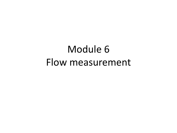# Module 6 Flow measurement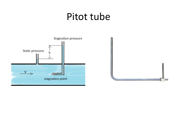## Pitot tube



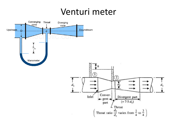### Venturi meter

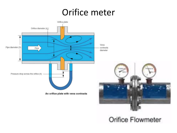## Orifice meter



#### **Orifice Flowmeter**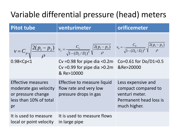### Variable differential pressure (head) meters

| <b>Pitot tube</b>                                                                                        | venturimeter                                                                                                                                                                                       | orificemeter                                                                                          |
|----------------------------------------------------------------------------------------------------------|----------------------------------------------------------------------------------------------------------------------------------------------------------------------------------------------------|-------------------------------------------------------------------------------------------------------|
|                                                                                                          | $v = C_p \sqrt{\frac{2(p_1 - p_2)}{\rho}}$ $v_2 = \frac{C_v}{\sqrt{1 - (D_2/D_1)^4}} \sqrt{\frac{2(p_1 - p_2)}{\rho}}$ $v_0 = \frac{C_0}{\sqrt{1 - (D_0/D_1)^4}} \sqrt{\frac{2(p_1 - p_2)}{\rho}}$ |                                                                                                       |
| 0.98 < Cpc1                                                                                              | Cv = 0.98 for pipe dia < 0.2m Co= 0.61 for Do/D1= $0.5$<br>Cv = $0.99$ for pipe dia > $0.2m$<br>& Re>10000                                                                                         | ℜ>20000                                                                                               |
| <b>Effective measures</b><br>moderate gas velocity<br>or pressure change<br>less than 10% of total<br>pr | Effective to measure liquid<br>flow rate and very low<br>pressure drops in gas                                                                                                                     | Less expensive and<br>compact compared to<br>venturi meter.<br>Permanent head loss is<br>much higher. |
| It is used to measure<br>local or point velocity                                                         | It is used to measure flows<br>in large pipe                                                                                                                                                       |                                                                                                       |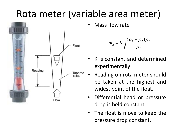# Rota meter (variable area meter)



• Mass flow rate

$$
m_A = K \sqrt{\frac{(\rho_f - \rho_A)\rho_A}{\rho_f}}
$$

- K is constant and determined experimentally
- Reading on rota meter should be taken at the highest and widest point of the float.
- Differential head or pressure drop is held constant.
- The float is move to keep the pressure drop constant.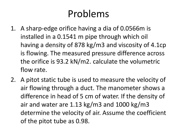## Problems

- 1. A sharp-edge orifice having a dia of 0.0566m is installed in a 0.1541 m pipe through which oil having a density of 878 kg/m3 and viscosity of 4.1cp is flowing. The measured pressure difference across the orifice is 93.2 kN/m2. calculate the volumetric flow rate.
- 2. A pitot static tube is used to measure the velocity of air flowing through a duct. The manometer shows a difference in head of 5 cm of water. If the density of air and water are 1.13 kg/m3 and 1000 kg/m3 determine the velocity of air. Assume the coefficient of the pitot tube as 0.98.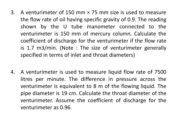- 3. A venturimeter of 150 mm × 75 mm size is used to measure the flow rate of oil having specific gravity of 0.9. The reading shown by the U tube manometer connected to the venturimeter is 150 mm of mercury column. Calculate the coefficient of discharge for the venturimeter if the flow rate is 1.7 m3/min. (Note : The size of venturimeter generally specified in terms of inlet and throat diameters)
- 4. A venturimeter is used to measure liquid flow rate of 7500 litres per minute. The difference in pressure across the venturimeter is equivalent to 8 m of the flowing liquid. The pipe diameter is 19 cm. Calculate the throat diameter of the venturimeter. Assume the coefficient of discharge for the venturimeter as 0.96.